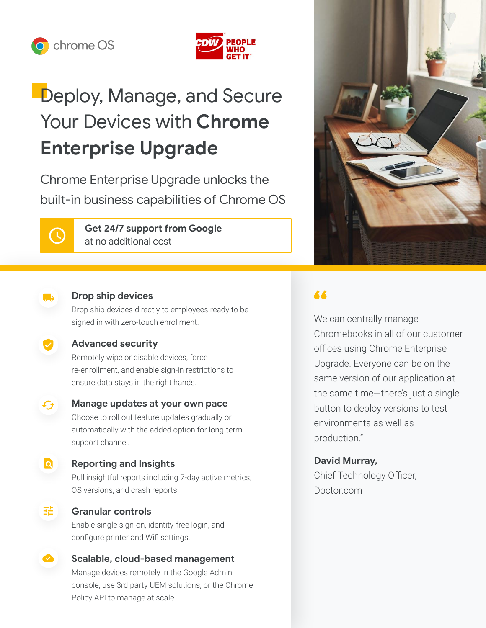



# Deploy, Manage, and Secure Your Devices with **Chrome Enterprise Upgrade**

Chrome Enterprise Upgrade unlocks the built-in business capabilities of Chrome OS

 $\mathcal{L}$ 

**Get 24/7 support from Google**  at no additional cost



### **Drop ship devices**

Drop ship devices directly to employees ready to be signed in with zero-touch enrollment.

### **Advanced security**

Remotely wipe or disable devices, force re-enrollment, and enable sign-in restrictions to ensure data stays in the right hands.



### **Manage updates at your own pace**

Choose to roll out feature updates gradually or automatically with the added option for long-term support channel.

### lal

### **Reporting and Insights**

Pull insightful reports including 7-day active metrics, OS versions, and crash reports.

### 法

### **Granular controls**

Enable single sign-on, identity-free login, and configure printer and Wifi settings.

## **Scalable, cloud-based management**

Manage devices remotely in the Google Admin console, use 3rd party UEM solutions, or the Chrome Policy API to manage at scale.

## 66

We can centrally manage Chromebooks in all of our customer offices using Chrome Enterprise Upgrade. Everyone can be on the same version of our application at the same time—there's just a single button to deploy versions to test environments as well as production."

### **David Murray,**

Chief Technology Officer, Doctor.com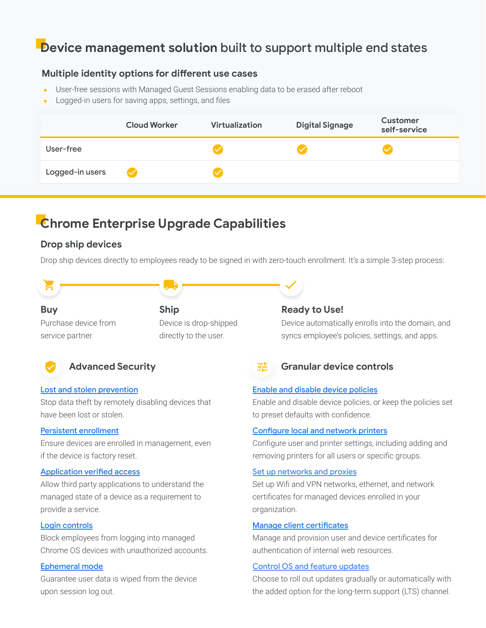## **Device management solution** built to support multiple end states

#### **Multiple identity options for different use cases**

- User-free sessions with Managed Guest Sessions enabling data to be erased after reboot
- Logged-in users for saving apps, settings, and files

| User-free |                 | <b>Cloud Worker</b>  | Virtualization | <b>Digital Signage</b> | <b>Customer</b><br>self-service |
|-----------|-----------------|----------------------|----------------|------------------------|---------------------------------|
|           |                 |                      |                |                        |                                 |
|           | Logged-in users | $\blacktriangledown$ |                |                        |                                 |

## **Chrome Enterprise Upgrade Capabilities**

#### **Drop ship devices**

Drop ship devices directly to employees ready to be signed in with zero-touch enrollment. It's a simple 3-step process:

#### **Buy**

Purchase device from service partner

### **Ship** Device is drop-shipped directly to the user.



### **Advanced Security**

#### [Lost and stolen prevention](https://support.google.com/chrome/a/answer/3523633?hl=en)

Stop data theft by remotely disabling devices that have been lost or stolen.

#### [Persistent enrollment](https://support.google.com/chrome/a/answer/1360534?hl=en)

Ensure devices are enrolled in management, even if the device is factory reset.

#### [Application verified access](https://support.google.com/chrome/a/answer/7156268)

Allow third party applications to understand the managed state of a device as a requirement to provide a service.

#### [Login controls](https://support.google.com/chrome/a/answer/2657289?hl=en)

Block employees from logging into managed Chrome OS devices with unauthorized accounts.

#### [Ephemeral mode](https://support.google.com/chrome/a/answer/3538894?hl=en)

Guarantee user data is wiped from the device upon session log out.

#### **Ready to Use!**

Device automatically enrolls into the domain, and syncs employee's policies, settings, and apps.

#### až **Granular device controls**

#### [Enable and disable device policies](https://support.google.com/chrome/a/answer/1375678?hl=en)

Enable and disable device policies, or keep the policies set to preset defaults with confidence.

#### [Configure local and network printers](https://support.google.com/chrome/a/answer/7276100?hl=en)

Configure user and printer settings, including adding and removing printers for all users or specific groups.

#### [Set up networks and proxies](https://support.google.com/chrome/a/answer/2634553?hl=en)

Set up Wifi and VPN networks, ethernet, and network certificates for managed devices enrolled in your organization.

#### [Manage client certificates](https://support.google.com/chrome/a/answer/6080885?hl=en)

Manage and provision user and device certificates for authentication of internal web resources.

#### [Control OS and feature updates](https://support.google.com/chrome/a/answer/3168106?hl=en#zippy=%2Cpin-chrome-os-updates-to-a-specific-version)

Choose to roll out updates gradually or automatically with the added option for the long-term support (LTS) channel.